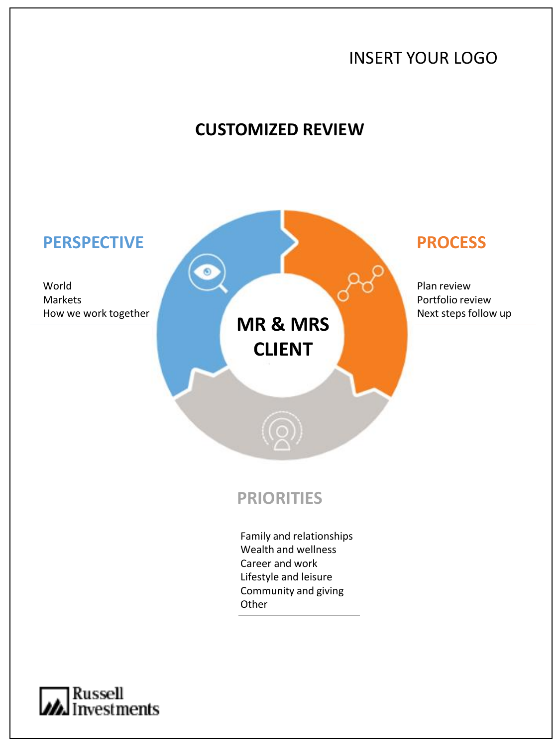

Russell<br>*M*investments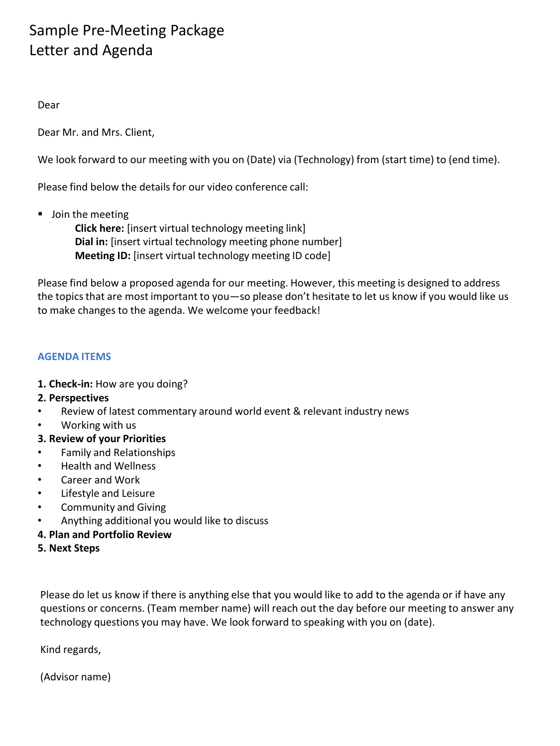## Sample Pre-Meeting Package Letter and Agenda

Dear

Dear Mr. and Mrs. Client,

We look forward to our meeting with you on (Date) via (Technology) from (start time) to (end time).

Please find below the details for our video conference call:

■ Join the meeting

**Click here:** [insert virtual technology meeting link] **Dial in:** [insert virtual technology meeting phone number] **Meeting ID:** [insert virtual technology meeting ID code]

Please find below a proposed agenda for our meeting. However, this meeting is designed to address the topics that are most important to you—so please don't hesitate to let us know if you would like us to make changes to the agenda. We welcome your feedback!

## **AGENDA ITEMS**

- **1. Check-in:** How are you doing?
- **2. Perspectives**
- Review of latest commentary around world event & relevant industry news
- Working with us
- **3. Review of your Priorities**
- Family and Relationships
- Health and Wellness
- Career and Work
- Lifestyle and Leisure
- Community and Giving
- Anything additional you would like to discuss
- **4. Plan and Portfolio Review**
- **5. Next Steps**

Please do let us know if there is anything else that you would like to add to the agenda or if have any questions or concerns. (Team member name) will reach out the day before our meeting to answer any technology questions you may have. We look forward to speaking with you on (date).

Kind regards,

(Advisor name)